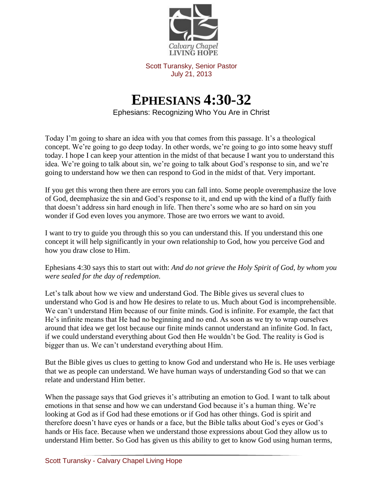

Scott Turansky, Senior Pastor July 21, 2013

## **EPHESIANS 4:30-32**

Ephesians: Recognizing Who You Are in Christ

Today I'm going to share an idea with you that comes from this passage. It's a theological concept. We're going to go deep today. In other words, we're going to go into some heavy stuff today. I hope I can keep your attention in the midst of that because I want you to understand this idea. We're going to talk about sin, we're going to talk about God's response to sin, and we're going to understand how we then can respond to God in the midst of that. Very important.

If you get this wrong then there are errors you can fall into. Some people overemphasize the love of God, deemphasize the sin and God's response to it, and end up with the kind of a fluffy faith that doesn't address sin hard enough in life. Then there's some who are so hard on sin you wonder if God even loves you anymore. Those are two errors we want to avoid.

I want to try to guide you through this so you can understand this. If you understand this one concept it will help significantly in your own relationship to God, how you perceive God and how you draw close to Him.

Ephesians 4:30 says this to start out with: *And do not grieve the Holy Spirit of God, by whom you were sealed for the day of redemption.* 

Let's talk about how we view and understand God. The Bible gives us several clues to understand who God is and how He desires to relate to us. Much about God is incomprehensible. We can't understand Him because of our finite minds. God is infinite. For example, the fact that He's infinite means that He had no beginning and no end. As soon as we try to wrap ourselves around that idea we get lost because our finite minds cannot understand an infinite God. In fact, if we could understand everything about God then He wouldn't be God. The reality is God is bigger than us. We can't understand everything about Him.

But the Bible gives us clues to getting to know God and understand who He is. He uses verbiage that we as people can understand. We have human ways of understanding God so that we can relate and understand Him better.

When the passage says that God grieves it's attributing an emotion to God. I want to talk about emotions in that sense and how we can understand God because it's a human thing. We're looking at God as if God had these emotions or if God has other things. God is spirit and therefore doesn't have eyes or hands or a face, but the Bible talks about God's eyes or God's hands or His face. Because when we understand those expressions about God they allow us to understand Him better. So God has given us this ability to get to know God using human terms,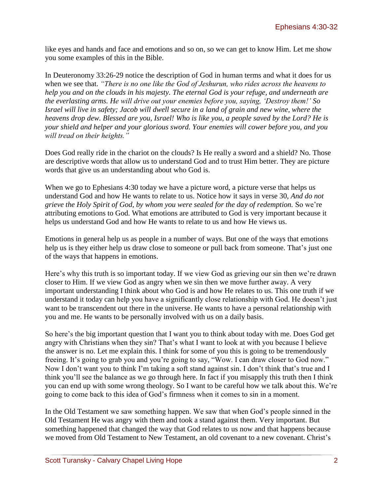like eyes and hands and face and emotions and so on, so we can get to know Him. Let me show you some examples of this in the Bible.

In Deuteronomy 33:26-29 notice the description of God in human terms and what it does for us when we see that. *"There is no one like the God of Jeshurun, who rides across the heavens to help you and on the clouds in his majesty. The eternal God is your refuge, and underneath are the everlasting arms. He will drive out your enemies before you, saying, 'Destroy them!' So Israel will live in safety; Jacob will dwell secure in a land of grain and new wine, where the heavens drop dew. Blessed are you, Israel! Who is like you, a people saved by the Lord? He is your shield and helper and your glorious sword. Your enemies will cower before you, and you will tread on their heights."*

Does God really ride in the chariot on the clouds? Is He really a sword and a shield? No. Those are descriptive words that allow us to understand God and to trust Him better. They are picture words that give us an understanding about who God is.

When we go to Ephesians 4:30 today we have a picture word, a picture verse that helps us understand God and how He wants to relate to us. Notice how it says in verse 30, *And do not grieve the Holy Spirit of God, by whom you were sealed for the day of redemption.* So we're attributing emotions to God. What emotions are attributed to God is very important because it helps us understand God and how He wants to relate to us and how He views us.

Emotions in general help us as people in a number of ways. But one of the ways that emotions help us is they either help us draw close to someone or pull back from someone. That's just one of the ways that happens in emotions.

Here's why this truth is so important today. If we view God as grieving our sin then we're drawn closer to Him. If we view God as angry when we sin then we move further away. A very important understanding I think about who God is and how He relates to us. This one truth if we understand it today can help you have a significantly close relationship with God. He doesn't just want to be transcendent out there in the universe. He wants to have a personal relationship with you and me. He wants to be personally involved with us on a daily basis.

So here's the big important question that I want you to think about today with me. Does God get angry with Christians when they sin? That's what I want to look at with you because I believe the answer is no. Let me explain this. I think for some of you this is going to be tremendously freeing. It's going to grab you and you're going to say, "Wow. I can draw closer to God now." Now I don't want you to think I'm taking a soft stand against sin. I don't think that's true and I think you'll see the balance as we go through here. In fact if you misapply this truth then I think you can end up with some wrong theology. So I want to be careful how we talk about this. We're going to come back to this idea of God's firmness when it comes to sin in a moment.

In the Old Testament we saw something happen. We saw that when God's people sinned in the Old Testament He was angry with them and took a stand against them. Very important. But something happened that changed the way that God relates to us now and that happens because we moved from Old Testament to New Testament, an old covenant to a new covenant. Christ's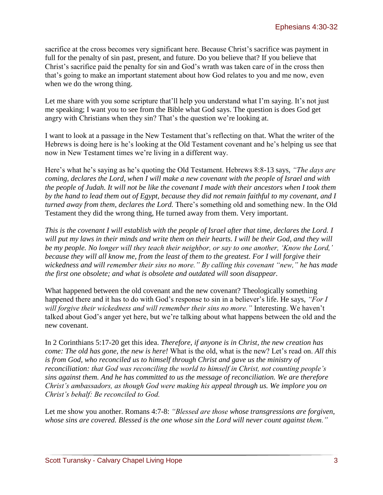sacrifice at the cross becomes very significant here. Because Christ's sacrifice was payment in full for the penalty of sin past, present, and future. Do you believe that? If you believe that Christ's sacrifice paid the penalty for sin and God's wrath was taken care of in the cross then that's going to make an important statement about how God relates to you and me now, even when we do the wrong thing.

Let me share with you some scripture that'll help you understand what I'm saying. It's not just me speaking; I want you to see from the Bible what God says. The question is does God get angry with Christians when they sin? That's the question we're looking at.

I want to look at a passage in the New Testament that's reflecting on that. What the writer of the Hebrews is doing here is he's looking at the Old Testament covenant and he's helping us see that now in New Testament times we're living in a different way.

Here's what he's saying as he's quoting the Old Testament. Hebrews 8:8-13 says, *"The days are coming, declares the Lord, when I will make a new covenant with the people of Israel and with the people of Judah. It will not be like the covenant I made with their ancestors when I took them by the hand to lead them out of Egypt, because they did not remain faithful to my covenant, and I turned away from them, declares the Lord.* There's something old and something new. In the Old Testament they did the wrong thing, He turned away from them. Very important.

*This is the covenant I will establish with the people of Israel after that time, declares the Lord. I will put my laws in their minds and write them on their hearts. I will be their God, and they will be my people. No longer will they teach their neighbor, or say to one another, 'Know the Lord,' because they will all know me, from the least of them to the greatest. For I will forgive their wickedness and will remember their sins no more." By calling this covenant "new," he has made the first one obsolete; and what is obsolete and outdated will soon disappear.*

What happened between the old covenant and the new covenant? Theologically something happened there and it has to do with God's response to sin in a believer's life. He says, *"For I will forgive their wickedness and will remember their sins no more."* Interesting. We haven't talked about God's anger yet here, but we're talking about what happens between the old and the new covenant.

In 2 Corinthians 5:17-20 get this idea. *Therefore, if anyone is in Christ, the new creation has come: The old has gone, the new is here!* What is the old, what is the new? Let's read on. *All this is from God, who reconciled us to himself through Christ and gave us the ministry of reconciliation: that God was reconciling the world to himself in Christ, not counting people's sins against them. And he has committed to us the message of reconciliation. We are therefore Christ's ambassadors, as though God were making his appeal through us. We implore you on Christ's behalf: Be reconciled to God.*

Let me show you another. Romans 4:7-8: *"Blessed are those whose transgressions are forgiven, whose sins are covered. Blessed is the one whose sin the Lord will never count against them."*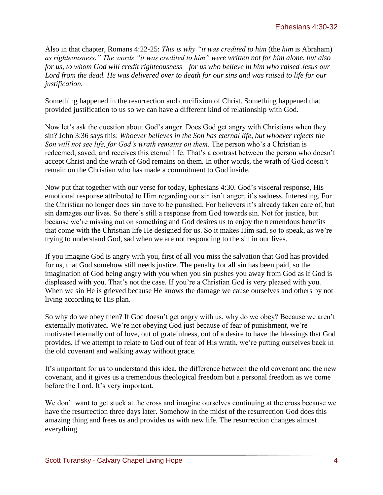Also in that chapter, Romans 4:22-25: *This is why "it was credited to him* (the *him* is Abraham) *as righteousness." The words "it was credited to him" were written not for him alone, but also for us, to whom God will credit righteousness—for us who believe in him who raised Jesus our Lord from the dead. He was delivered over to death for our sins and was raised to life for our justification.*

Something happened in the resurrection and crucifixion of Christ. Something happened that provided justification to us so we can have a different kind of relationship with God.

Now let's ask the question about God's anger. Does God get angry with Christians when they sin? John 3:36 says this: *Whoever believes in the Son has eternal life, but whoever rejects the Son will not see life, for God's wrath remains on them.* The person who's a Christian is redeemed, saved, and receives this eternal life. That's a contrast between the person who doesn't accept Christ and the wrath of God remains on them. In other words, the wrath of God doesn't remain on the Christian who has made a commitment to God inside.

Now put that together with our verse for today, Ephesians 4:30. God's visceral response, His emotional response attributed to Him regarding our sin isn't anger, it's sadness. Interesting. For the Christian no longer does sin have to be punished. For believers it's already taken care of, but sin damages our lives. So there's still a response from God towards sin. Not for justice, but because we're missing out on something and God desires us to enjoy the tremendous benefits that come with the Christian life He designed for us. So it makes Him sad, so to speak, as we're trying to understand God, sad when we are not responding to the sin in our lives.

If you imagine God is angry with you, first of all you miss the salvation that God has provided for us, that God somehow still needs justice. The penalty for all sin has been paid, so the imagination of God being angry with you when you sin pushes you away from God as if God is displeased with you. That's not the case. If you're a Christian God is very pleased with you. When we sin He is grieved because He knows the damage we cause ourselves and others by not living according to His plan.

So why do we obey then? If God doesn't get angry with us, why do we obey? Because we aren't externally motivated. We're not obeying God just because of fear of punishment, we're motivated eternally out of love, out of gratefulness, out of a desire to have the blessings that God provides. If we attempt to relate to God out of fear of His wrath, we're putting ourselves back in the old covenant and walking away without grace.

It's important for us to understand this idea, the difference between the old covenant and the new covenant, and it gives us a tremendous theological freedom but a personal freedom as we come before the Lord. It's very important.

We don't want to get stuck at the cross and imagine ourselves continuing at the cross because we have the resurrection three days later. Somehow in the midst of the resurrection God does this amazing thing and frees us and provides us with new life. The resurrection changes almost everything.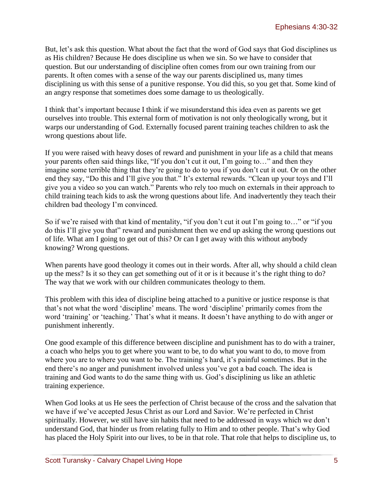But, let's ask this question. What about the fact that the word of God says that God disciplines us as His children? Because He does discipline us when we sin. So we have to consider that question. But our understanding of discipline often comes from our own training from our parents. It often comes with a sense of the way our parents disciplined us, many times disciplining us with this sense of a punitive response. You did this, so you get that. Some kind of an angry response that sometimes does some damage to us theologically.

I think that's important because I think if we misunderstand this idea even as parents we get ourselves into trouble. This external form of motivation is not only theologically wrong, but it warps our understanding of God. Externally focused parent training teaches children to ask the wrong questions about life.

If you were raised with heavy doses of reward and punishment in your life as a child that means your parents often said things like, "If you don't cut it out, I'm going to…" and then they imagine some terrible thing that they're going to do to you if you don't cut it out. Or on the other end they say, "Do this and I'll give you that." It's external rewards. "Clean up your toys and I'll give you a video so you can watch." Parents who rely too much on externals in their approach to child training teach kids to ask the wrong questions about life. And inadvertently they teach their children bad theology I'm convinced.

So if we're raised with that kind of mentality, "if you don't cut it out I'm going to…" or "if you do this I'll give you that" reward and punishment then we end up asking the wrong questions out of life. What am I going to get out of this? Or can I get away with this without anybody knowing? Wrong questions.

When parents have good theology it comes out in their words. After all, why should a child clean up the mess? Is it so they can get something out of it or is it because it's the right thing to do? The way that we work with our children communicates theology to them.

This problem with this idea of discipline being attached to a punitive or justice response is that that's not what the word 'discipline' means. The word 'discipline' primarily comes from the word 'training' or 'teaching.' That's what it means. It doesn't have anything to do with anger or punishment inherently.

One good example of this difference between discipline and punishment has to do with a trainer, a coach who helps you to get where you want to be, to do what you want to do, to move from where you are to where you want to be. The training's hard, it's painful sometimes. But in the end there's no anger and punishment involved unless you've got a bad coach. The idea is training and God wants to do the same thing with us. God's disciplining us like an athletic training experience.

When God looks at us He sees the perfection of Christ because of the cross and the salvation that we have if we've accepted Jesus Christ as our Lord and Savior. We're perfected in Christ spiritually. However, we still have sin habits that need to be addressed in ways which we don't understand God, that hinder us from relating fully to Him and to other people. That's why God has placed the Holy Spirit into our lives, to be in that role. That role that helps to discipline us, to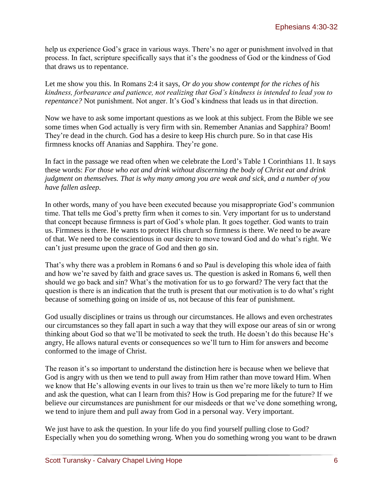help us experience God's grace in various ways. There's no ager or punishment involved in that process. In fact, scripture specifically says that it's the goodness of God or the kindness of God that draws us to repentance.

Let me show you this. In Romans 2:4 it says, *Or do you show contempt for the riches of his kindness, forbearance and patience, not realizing that God's kindness is intended to lead you to repentance?* Not punishment. Not anger. It's God's kindness that leads us in that direction.

Now we have to ask some important questions as we look at this subject. From the Bible we see some times when God actually is very firm with sin. Remember Ananias and Sapphira? Boom! They're dead in the church. God has a desire to keep His church pure. So in that case His firmness knocks off Ananias and Sapphira. They're gone.

In fact in the passage we read often when we celebrate the Lord's Table 1 Corinthians 11. It says these words: *For those who eat and drink without discerning the body of Christ eat and drink judgment on themselves. That is why many among you are weak and sick, and a number of you have fallen asleep.*

In other words, many of you have been executed because you misappropriate God's communion time. That tells me God's pretty firm when it comes to sin. Very important for us to understand that concept because firmness is part of God's whole plan. It goes together. God wants to train us. Firmness is there. He wants to protect His church so firmness is there. We need to be aware of that. We need to be conscientious in our desire to move toward God and do what's right. We can't just presume upon the grace of God and then go sin.

That's why there was a problem in Romans 6 and so Paul is developing this whole idea of faith and how we're saved by faith and grace saves us. The question is asked in Romans 6, well then should we go back and sin? What's the motivation for us to go forward? The very fact that the question is there is an indication that the truth is present that our motivation is to do what's right because of something going on inside of us, not because of this fear of punishment.

God usually disciplines or trains us through our circumstances. He allows and even orchestrates our circumstances so they fall apart in such a way that they will expose our areas of sin or wrong thinking about God so that we'll be motivated to seek the truth. He doesn't do this because He's angry, He allows natural events or consequences so we'll turn to Him for answers and become conformed to the image of Christ.

The reason it's so important to understand the distinction here is because when we believe that God is angry with us then we tend to pull away from Him rather than move toward Him. When we know that He's allowing events in our lives to train us then we're more likely to turn to Him and ask the question, what can I learn from this? How is God preparing me for the future? If we believe our circumstances are punishment for our misdeeds or that we've done something wrong, we tend to injure them and pull away from God in a personal way. Very important.

We just have to ask the question. In your life do you find yourself pulling close to God? Especially when you do something wrong. When you do something wrong you want to be drawn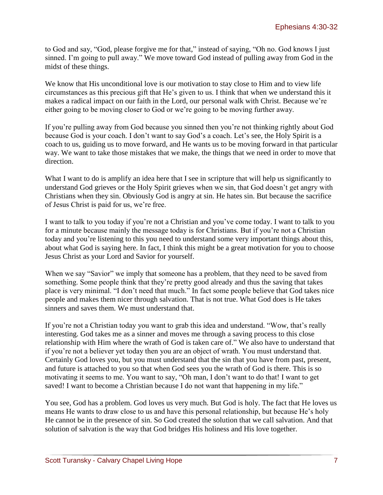to God and say, "God, please forgive me for that," instead of saying, "Oh no. God knows I just sinned. I'm going to pull away." We move toward God instead of pulling away from God in the midst of these things.

We know that His unconditional love is our motivation to stay close to Him and to view life circumstances as this precious gift that He's given to us. I think that when we understand this it makes a radical impact on our faith in the Lord, our personal walk with Christ. Because we're either going to be moving closer to God or we're going to be moving further away.

If you're pulling away from God because you sinned then you're not thinking rightly about God because God is your coach. I don't want to say God's a coach. Let's see, the Holy Spirit is a coach to us, guiding us to move forward, and He wants us to be moving forward in that particular way. We want to take those mistakes that we make, the things that we need in order to move that direction.

What I want to do is amplify an idea here that I see in scripture that will help us significantly to understand God grieves or the Holy Spirit grieves when we sin, that God doesn't get angry with Christians when they sin. Obviously God is angry at sin. He hates sin. But because the sacrifice of Jesus Christ is paid for us, we're free.

I want to talk to you today if you're not a Christian and you've come today. I want to talk to you for a minute because mainly the message today is for Christians. But if you're not a Christian today and you're listening to this you need to understand some very important things about this, about what God is saying here. In fact, I think this might be a great motivation for you to choose Jesus Christ as your Lord and Savior for yourself.

When we say "Savior" we imply that someone has a problem, that they need to be saved from something. Some people think that they're pretty good already and thus the saving that takes place is very minimal. "I don't need that much." In fact some people believe that God takes nice people and makes them nicer through salvation. That is not true. What God does is He takes sinners and saves them. We must understand that.

If you're not a Christian today you want to grab this idea and understand. "Wow, that's really interesting. God takes me as a sinner and moves me through a saving process to this close relationship with Him where the wrath of God is taken care of." We also have to understand that if you're not a believer yet today then you are an object of wrath. You must understand that. Certainly God loves you, but you must understand that the sin that you have from past, present, and future is attached to you so that when God sees you the wrath of God is there. This is so motivating it seems to me. You want to say, "Oh man, I don't want to do that! I want to get saved! I want to become a Christian because I do not want that happening in my life."

You see, God has a problem. God loves us very much. But God is holy. The fact that He loves us means He wants to draw close to us and have this personal relationship, but because He's holy He cannot be in the presence of sin. So God created the solution that we call salvation. And that solution of salvation is the way that God bridges His holiness and His love together.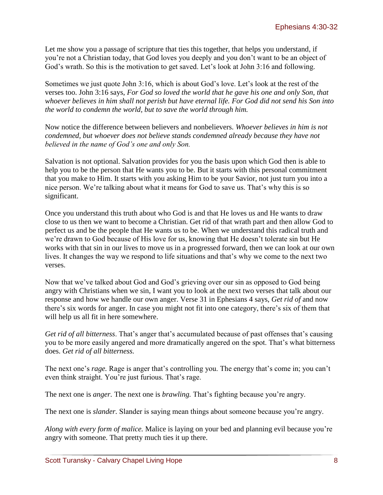Let me show you a passage of scripture that ties this together, that helps you understand, if you're not a Christian today, that God loves you deeply and you don't want to be an object of God's wrath. So this is the motivation to get saved. Let's look at John 3:16 and following.

Sometimes we just quote John 3:16, which is about God's love. Let's look at the rest of the verses too. John 3:16 says, *For God so loved the world that he gave his one and only Son, that whoever believes in him shall not perish but have eternal life. For God did not send his Son into the world to condemn the world, but to save the world through him.* 

Now notice the difference between believers and nonbelievers. *Whoever believes in him is not condemned, but whoever does not believe stands condemned already because they have not believed in the name of God's one and only Son.* 

Salvation is not optional. Salvation provides for you the basis upon which God then is able to help you to be the person that He wants you to be. But it starts with this personal commitment that you make to Him. It starts with you asking Him to be your Savior, not just turn you into a nice person. We're talking about what it means for God to save us. That's why this is so significant.

Once you understand this truth about who God is and that He loves us and He wants to draw close to us then we want to become a Christian. Get rid of that wrath part and then allow God to perfect us and be the people that He wants us to be. When we understand this radical truth and we're drawn to God because of His love for us, knowing that He doesn't tolerate sin but He works with that sin in our lives to move us in a progressed forward, then we can look at our own lives. It changes the way we respond to life situations and that's why we come to the next two verses.

Now that we've talked about God and God's grieving over our sin as opposed to God being angry with Christians when we sin, I want you to look at the next two verses that talk about our response and how we handle our own anger. Verse 31 in Ephesians 4 says, *Get rid of* and now there's six words for anger. In case you might not fit into one category, there's six of them that will help us all fit in here somewhere.

*Get rid of all bitterness*. That's anger that's accumulated because of past offenses that's causing you to be more easily angered and more dramatically angered on the spot. That's what bitterness does. *Get rid of all bitterness.* 

The next one's *rage.* Rage is anger that's controlling you. The energy that's come in; you can't even think straight. You're just furious. That's rage.

The next one is *anger.* The next one is *brawling.* That's fighting because you're angry.

The next one is *slander.* Slander is saying mean things about someone because you're angry.

*Along with every form of malice.* Malice is laying on your bed and planning evil because you're angry with someone. That pretty much ties it up there.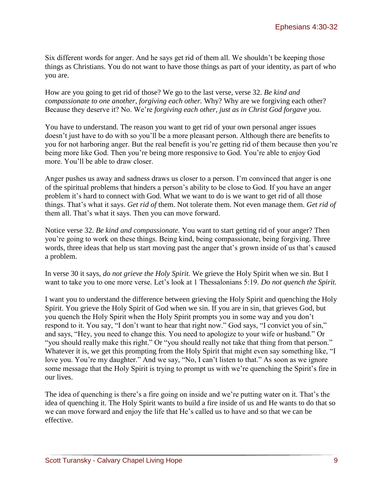Six different words for anger. And he says get rid of them all. We shouldn't be keeping those things as Christians. You do not want to have those things as part of your identity, as part of who you are.

How are you going to get rid of those? We go to the last verse, verse 32. *Be kind and compassionate to one another, forgiving each other.* Why? Why are we forgiving each other? Because they deserve it? No. We're *forgiving each other*, *just as in Christ God forgave you.* 

You have to understand. The reason you want to get rid of your own personal anger issues doesn't just have to do with so you'll be a more pleasant person. Although there are benefits to you for not harboring anger. But the real benefit is you're getting rid of them because then you're being more like God. Then you're being more responsive to God. You're able to enjoy God more. You'll be able to draw closer.

Anger pushes us away and sadness draws us closer to a person. I'm convinced that anger is one of the spiritual problems that hinders a person's ability to be close to God. If you have an anger problem it's hard to connect with God. What we want to do is we want to get rid of all those things. That's what it says. *Get rid of* them. Not tolerate them. Not even manage them. *Get rid of* them all. That's what it says. Then you can move forward.

Notice verse 32. *Be kind and compassionate.* You want to start getting rid of your anger? Then you're going to work on these things. Being kind, being compassionate, being forgiving. Three words, three ideas that help us start moving past the anger that's grown inside of us that's caused a problem.

In verse 30 it says, *do not grieve the Holy Spirit.* We grieve the Holy Spirit when we sin. But I want to take you to one more verse. Let's look at 1 Thessalonians 5:19. *Do not quench the Spirit.* 

I want you to understand the difference between grieving the Holy Spirit and quenching the Holy Spirit. You grieve the Holy Spirit of God when we sin. If you are in sin, that grieves God, but you quench the Holy Spirit when the Holy Spirit prompts you in some way and you don't respond to it. You say, "I don't want to hear that right now." God says, "I convict you of sin," and says, "Hey, you need to change this. You need to apologize to your wife or husband." Or "you should really make this right." Or "you should really not take that thing from that person." Whatever it is, we get this prompting from the Holy Spirit that might even say something like, "I love you. You're my daughter." And we say, "No, I can't listen to that." As soon as we ignore some message that the Holy Spirit is trying to prompt us with we're quenching the Spirit's fire in our lives.

The idea of quenching is there's a fire going on inside and we're putting water on it. That's the idea of quenching it. The Holy Spirit wants to build a fire inside of us and He wants to do that so we can move forward and enjoy the life that He's called us to have and so that we can be effective.